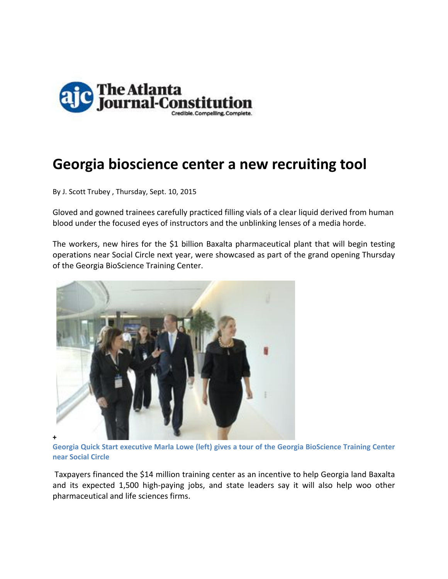

## **Georgia bioscience center a new recruiting tool**

By J. Scott Trubey , Thursday, Sept. 10, 2015

Gloved and gowned trainees carefully practiced filling vials of a clear liquid derived from human blood under the focused eyes of instructors and the unblinking lenses of a media horde.

The workers, new hires for the \$1 billion Baxalta pharmaceutical plant that will begin testing operations near Social Circle next year, were showcased as part of the grand opening Thursday of the Georgia BioScience Training Center.



**Georgia Quick Start executive Marla Lowe (left) gives a tour of the Georgia BioScience Training Center near Social Circle**

Taxpayers financed the \$14 million training center as an incentive to help Georgia land Baxalta and its expected 1,500 high‐paying jobs, and state leaders say it will also help woo other pharmaceutical and life sciences firms.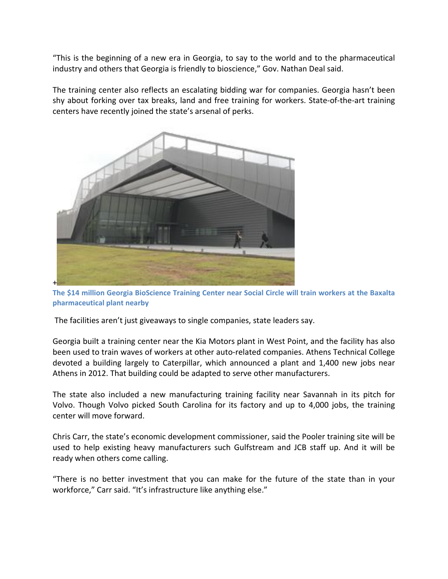"This is the beginning of a new era in Georgia, to say to the world and to the pharmaceutical industry and others that Georgia is friendly to bioscience," Gov. Nathan Deal said.

The training center also reflects an escalating bidding war for companies. Georgia hasn't been shy about forking over tax breaks, land and free training for workers. State-of-the-art training centers have recently joined the state's arsenal of perks.



**The \$14 million Georgia BioScience Training Center near Social Circle will train workers at the Baxalta pharmaceutical plant nearby**

The facilities aren't just giveaways to single companies, state leaders say.

Georgia built a training center near the Kia Motors plant in West Point, and the facility has also been used to train waves of workers at other auto-related companies. Athens Technical College devoted a building largely to Caterpillar, which announced a plant and 1,400 new jobs near Athens in 2012. That building could be adapted to serve other manufacturers.

The state also included a new manufacturing training facility near Savannah in its pitch for Volvo. Though Volvo picked South Carolina for its factory and up to 4,000 jobs, the training center will move forward.

Chris Carr, the state's economic development commissioner, said the Pooler training site will be used to help existing heavy manufacturers such Gulfstream and JCB staff up. And it will be ready when others come calling.

"There is no better investment that you can make for the future of the state than in your workforce," Carr said. "It's infrastructure like anything else."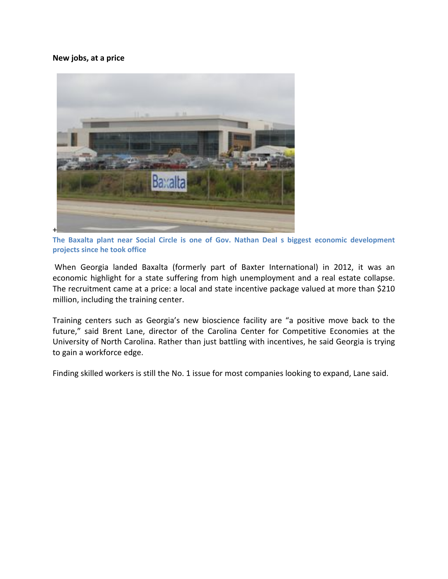**New jobs, at a price**



**The Baxalta plant near Social Circle is one of Gov. Nathan Deal s biggest economic development projects since he took office**

When Georgia landed Baxalta (formerly part of Baxter International) in 2012, it was an economic highlight for a state suffering from high unemployment and a real estate collapse. The recruitment came at a price: a local and state incentive package valued at more than \$210 million, including the training center.

Training centers such as Georgia's new bioscience facility are "a positive move back to the future," said Brent Lane, director of the Carolina Center for Competitive Economies at the University of North Carolina. Rather than just battling with incentives, he said Georgia is trying to gain a workforce edge.

Finding skilled workers is still the No. 1 issue for most companies looking to expand, Lane said.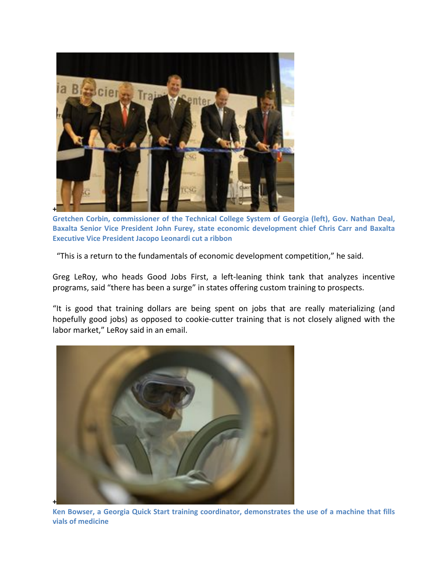

**Gretchen Corbin, commissioner of the Technical College System of Georgia (left), Gov. Nathan Deal, Baxalta Senior Vice President John Furey, state economic development chief Chris Carr and Baxalta Executive Vice President Jacopo Leonardi cut a ribbon**

"This is a return to the fundamentals of economic development competition," he said.

Greg LeRoy, who heads Good Jobs First, a left‐leaning think tank that analyzes incentive programs, said "there has been a surge" in states offering custom training to prospects.

"It is good that training dollars are being spent on jobs that are really materializing (and hopefully good jobs) as opposed to cookie‐cutter training that is not closely aligned with the labor market," LeRoy said in an email.



**Ken Bowser, a Georgia Quick Start training coordinator, demonstrates the use of a machine that fills vials of medicine**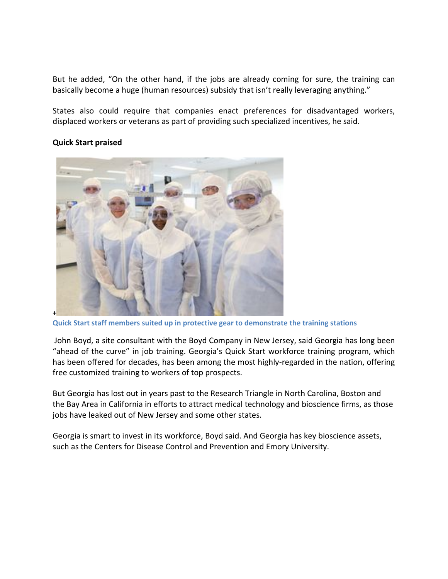But he added, "On the other hand, if the jobs are already coming for sure, the training can basically become a huge (human resources) subsidy that isn't really leveraging anything."

States also could require that companies enact preferences for disadvantaged workers, displaced workers or veterans as part of providing such specialized incentives, he said.

## **Quick Start praised**



**Quick Start staff members suited up in protective gear to demonstrate the training stations**

John Boyd, a site consultant with the Boyd Company in New Jersey, said Georgia has long been "ahead of the curve" in job training. Georgia's Quick Start workforce training program, which has been offered for decades, has been among the most highly-regarded in the nation, offering free customized training to workers of top prospects.

But Georgia has lost out in years past to the Research Triangle in North Carolina, Boston and the Bay Area in California in efforts to attract medical technology and bioscience firms, as those jobs have leaked out of New Jersey and some other states.

Georgia is smart to invest in its workforce, Boyd said. And Georgia has key bioscience assets, such as the Centers for Disease Control and Prevention and Emory University.